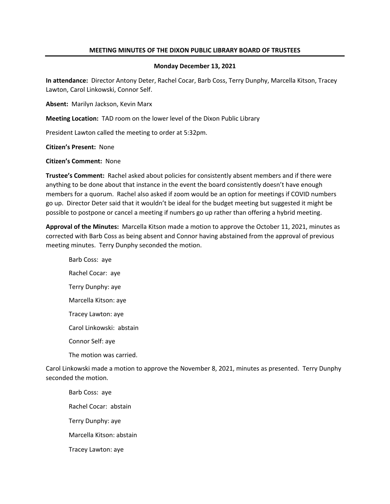# **MEETING MINUTES OF THE DIXON PUBLIC LIBRARY BOARD OF TRUSTEES**

## **Monday December 13, 2021**

**In attendance:** Director Antony Deter, Rachel Cocar, Barb Coss, Terry Dunphy, Marcella Kitson, Tracey Lawton, Carol Linkowski, Connor Self.

**Absent:** Marilyn Jackson, Kevin Marx

**Meeting Location:** TAD room on the lower level of the Dixon Public Library

President Lawton called the meeting to order at 5:32pm.

**Citizen's Present:** None

**Citizen's Comment:** None

**Trustee's Comment:** Rachel asked about policies for consistently absent members and if there were anything to be done about that instance in the event the board consistently doesn't have enough members for a quorum. Rachel also asked if zoom would be an option for meetings if COVID numbers go up. Director Deter said that it wouldn't be ideal for the budget meeting but suggested it might be possible to postpone or cancel a meeting if numbers go up rather than offering a hybrid meeting.

**Approval of the Minutes:** Marcella Kitson made a motion to approve the October 11, 2021, minutes as corrected with Barb Coss as being absent and Connor having abstained from the approval of previous meeting minutes. Terry Dunphy seconded the motion.

Barb Coss: aye Rachel Cocar: aye Terry Dunphy: aye Marcella Kitson: aye Tracey Lawton: aye Carol Linkowski: abstain Connor Self: aye The motion was carried.

Carol Linkowski made a motion to approve the November 8, 2021, minutes as presented. Terry Dunphy seconded the motion.

Barb Coss: aye Rachel Cocar: abstain Terry Dunphy: aye Marcella Kitson: abstain Tracey Lawton: aye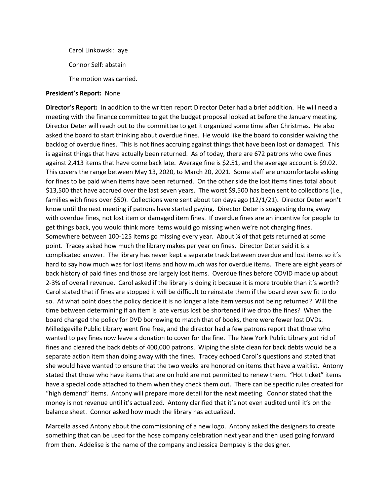Carol Linkowski: aye Connor Self: abstain The motion was carried.

## **President's Report:** None

**Director's Report:** In addition to the written report Director Deter had a brief addition. He will need a meeting with the finance committee to get the budget proposal looked at before the January meeting. Director Deter will reach out to the committee to get it organized some time after Christmas. He also asked the board to start thinking about overdue fines. He would like the board to consider waiving the backlog of overdue fines. This is not fines accruing against things that have been lost or damaged. This is against things that have actually been returned. As of today, there are 672 patrons who owe fines against 2,413 items that have come back late. Average fine is \$2.51, and the average account is \$9.02. This covers the range between May 13, 2020, to March 20, 2021. Some staff are uncomfortable asking for fines to be paid when items have been returned. On the other side the lost items fines total about \$13,500 that have accrued over the last seven years. The worst \$9,500 has been sent to collections (i.e., families with fines over \$50). Collections were sent about ten days ago (12/1/21). Director Deter won't know until the next meeting if patrons have started paying. Director Deter is suggesting doing away with overdue fines, not lost item or damaged item fines. If overdue fines are an incentive for people to get things back, you would think more items would go missing when we're not charging fines. Somewhere between 100-125 items go missing every year. About ¼ of that gets returned at some point. Tracey asked how much the library makes per year on fines. Director Deter said it is a complicated answer. The library has never kept a separate track between overdue and lost items so it's hard to say how much was for lost items and how much was for overdue items. There are eight years of back history of paid fines and those are largely lost items. Overdue fines before COVID made up about 2-3% of overall revenue. Carol asked if the library is doing it because it is more trouble than it's worth? Carol stated that if fines are stopped it will be difficult to reinstate them if the board ever saw fit to do so. At what point does the policy decide it is no longer a late item versus not being returned? Will the time between determining if an item is late versus lost be shortened if we drop the fines? When the board changed the policy for DVD borrowing to match that of books, there were fewer lost DVDs. Milledgeville Public Library went fine free, and the director had a few patrons report that those who wanted to pay fines now leave a donation to cover for the fine. The New York Public Library got rid of fines and cleared the back debts of 400,000 patrons. Wiping the slate clean for back debts would be a separate action item than doing away with the fines. Tracey echoed Carol's questions and stated that she would have wanted to ensure that the two weeks are honored on items that have a waitlist. Antony stated that those who have items that are on hold are not permitted to renew them. "Hot ticket" items have a special code attached to them when they check them out. There can be specific rules created for "high demand" items. Antony will prepare more detail for the next meeting. Connor stated that the money is not revenue until it's actualized. Antony clarified that it's not even audited until it's on the balance sheet. Connor asked how much the library has actualized.

Marcella asked Antony about the commissioning of a new logo. Antony asked the designers to create something that can be used for the hose company celebration next year and then used going forward from then. Addelise is the name of the company and Jessica Dempsey is the designer.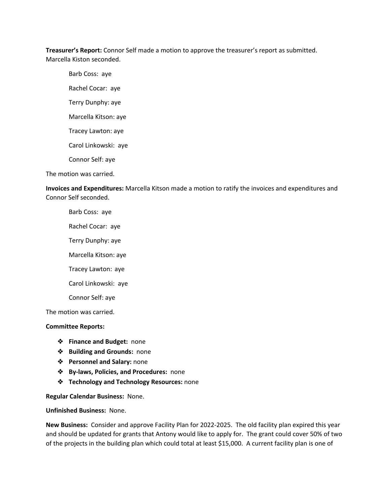**Treasurer's Report:** Connor Self made a motion to approve the treasurer's report as submitted. Marcella Kiston seconded.

Barb Coss: aye Rachel Cocar: aye Terry Dunphy: aye Marcella Kitson: aye Tracey Lawton: aye Carol Linkowski: aye Connor Self: aye

The motion was carried.

**Invoices and Expenditures:** Marcella Kitson made a motion to ratify the invoices and expenditures and Connor Self seconded.

- Barb Coss: aye Rachel Cocar: aye Terry Dunphy: aye
- Marcella Kitson: aye
- Tracey Lawton: aye
- Carol Linkowski: aye
- Connor Self: aye

The motion was carried.

## **Committee Reports:**

- ❖ **Finance and Budget:** none
- ❖ **Building and Grounds:** none
- ❖ **Personnel and Salary:** none
- ❖ **By-laws, Policies, and Procedures:** none
- ❖ **Technology and Technology Resources:** none

**Regular Calendar Business:** None.

**Unfinished Business:** None.

**New Business:** Consider and approve Facility Plan for 2022-2025. The old facility plan expired this year and should be updated for grants that Antony would like to apply for. The grant could cover 50% of two of the projects in the building plan which could total at least \$15,000. A current facility plan is one of